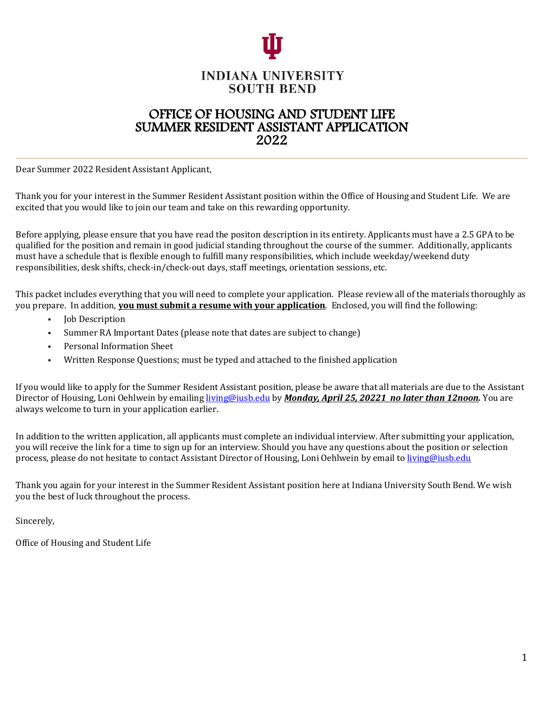

### **INDIANA UNIVERSITY SOUTH BEND**

# OFFICE OF HOUSING AND STUDENT LIFE<br>SUMMER RESIDENT ASSISTANT APPLICATION<br>2022

Dear Summer 2022 Resident Assistant Applicant,

Thank you for your interest in the Summer Resident Assistant position within the Office of Housing and Student Life. We are excited that you would like to join our team and take on this rewarding opportunity.

Before applying, please ensure that you have read the positon description in its entirety. Applicants must have a 2.5 GPA to be qualified for the position and remain in good judicial standing throughout the course of the summer. Additionally, applicants must have a schedule that is flexible enough to fulfill many responsibilities, which include weekday/weekend duty responsibilities, desk shifts, check-in/check-out days, staff meetings, orientation sessions, etc.

This packet includes everything that you will need to complete your application. Please review all of the materials thoroughly as you prepare. In addition, **you must submit a resume with your application**. Enclosed, you will find the following:

- **Job Description**
- Summer RA Important Dates (please note that dates are subject to change)
- Personal Information Sheet
- Written Response Questions; must be typed and attached to the finished application

If you would like to apply for the Summer Resident Assistant position, please be aware that all materials are due to the Assistant Director of Housing, Loni Oehlwein by emailing living@iusb.edu by *Monday, April 25, 20221 no later than 12noon.* You are always welcome to turn in your application earlier.

In addition to the written application, all applicants must complete an individual interview. After submitting your application, you will receive the link for a time to sign up for an interview. Should you have any questions about the position or selection process, please do not hesitate to contact Assistant Director of Housing, Loni Oehlwein by email to living@iusb.edu

Thank you again for your interest in the Summer Resident Assistant position here at Indiana University South Bend. We wish you the best of luck throughout the process.

Sincerely,

Office of Housing and Student Life

i,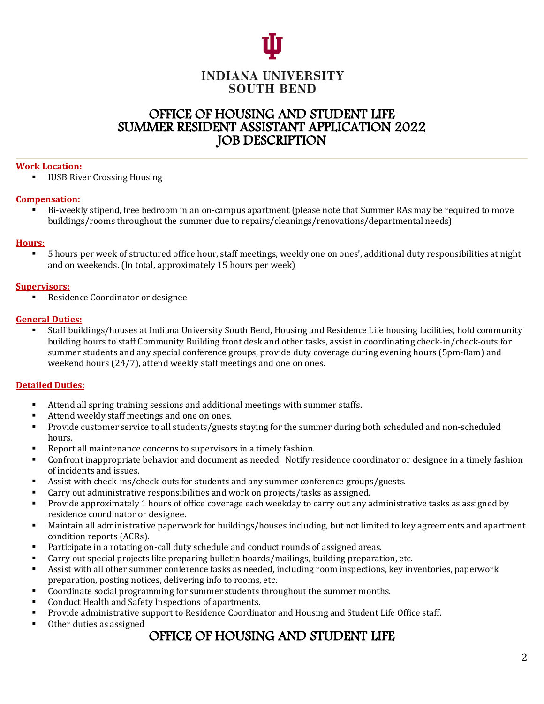

### **INDIANA UNIVERSITY SOUTH BEND**

# OFFICE OF HOUSING AND STUDENT LIFE<br>SUMMER RESIDENT ASSISTANT APPLICATION 2022<br>JOB DESCRIPTION

## work Location: **Work Location:** which is a structure of the contract of the contract of the contract of the contract of the contract of the contract of the contract of the contract of the contract of the contract of the co

■ IUSB River Crossing Housing

#### **Compensation:**

■ Bi-weekly stipend, free bedroom in an on-campus apartment (please note that Summer RAs may be required to move buildings/rooms throughout the summer due to repairs/cleanings/renovations/departmental needs)

#### **Hours:**

■ 5 hours per week of structured office hour, staff meetings, weekly one on ones', additional duty responsibilities at night and on weekends. (In total, approximately 15 hours per week)

#### **Supervisors:**

■ Residence Coordinator or designee

#### **General Duties:**

■ Staff buildings/houses at Indiana University South Bend, Housing and Residence Life housing facilities, hold community building hours to staff Community Building front desk and other tasks, assist in coordinating check-in/check-outs for summer students and any special conference groups, provide duty coverage during evening hours (5pm-8am) and weekend hours  $(24/7)$ , attend weekly staff meetings and one on ones.

#### **Detailed Duties:**

- Attend all spring training sessions and additional meetings with summer staffs.
- Attend weekly staff meetings and one on ones.
- Provide customer service to all students/guests staying for the summer during both scheduled and non-scheduled hours.
- Report all maintenance concerns to supervisors in a timely fashion.
- Confront inappropriate behavior and document as needed. Notify residence coordinator or designee in a timely fashion of incidents and issues.
- Assist with check-ins/check-outs for students and any summer conference groups/guests.
- **•** Carry out administrative responsibilities and work on projects/tasks as assigned.
- Provide approximately 1 hours of office coverage each weekday to carry out any administrative tasks as assigned by residence coordinator or designee.
- Maintain all administrative paperwork for buildings/houses including, but not limited to key agreements and apartment condition reports (ACRs).
- Participate in a rotating on-call duty schedule and conduct rounds of assigned areas.
- Carry out special projects like preparing bulletin boards/mailings, building preparation, etc.
- Assist with all other summer conference tasks as needed, including room inspections, key inventories, paperwork preparation, posting notices, delivering info to rooms, etc.
- Coordinate social programming for summer students throughout the summer months.
- Conduct Health and Safety Inspections of apartments.
- Provide administrative support to Residence Coordinator and Housing and Student Life Office staff.
- Other duties as assigned

## OFFICE OF HOUSING AND STUDENT LIFE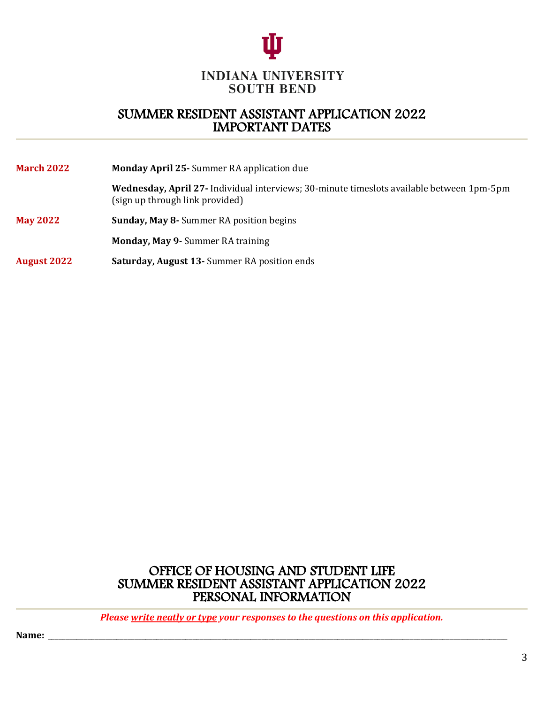

# SUMMER RESIDENT ASSISTANT APPLICATION 2022 IMPORTANT DATES

| <b>March 2022</b>  | <b>Monday April 25-</b> Summer RA application due                                                                            |  |  |  |  |
|--------------------|------------------------------------------------------------------------------------------------------------------------------|--|--|--|--|
|                    | Wednesday, April 27- Individual interviews; 30-minute timeslots available between 1pm-5pm<br>(sign up through link provided) |  |  |  |  |
| <b>May 2022</b>    | <b>Sunday, May 8-</b> Summer RA position begins                                                                              |  |  |  |  |
|                    | <b>Monday, May 9- Summer RA training</b>                                                                                     |  |  |  |  |
| <b>August 2022</b> | <b>Saturday, August 13-</b> Summer RA position ends                                                                          |  |  |  |  |

OFFICE OF HOUSING AND STUDENT LIFE<br>SUMMER RESIDENT ASSISTANT APPLICATION 2022<br>PERSONAL INFORMATION

*Please write neatly or type your responses to the questions on this application.* 

**Name:** \_\_\_\_\_\_\_\_\_\_\_\_\_\_\_\_\_\_\_\_\_\_\_\_\_\_\_\_\_\_\_\_\_\_\_\_\_\_\_\_\_\_\_\_\_\_\_\_\_\_\_\_\_\_\_\_\_\_\_\_\_\_\_\_\_\_\_\_\_\_\_\_\_\_\_\_\_\_\_\_\_\_\_\_\_\_\_\_\_\_\_\_\_\_\_\_\_\_\_\_\_\_\_\_\_\_\_\_\_\_\_\_\_\_\_\_\_\_\_\_\_\_\_\_\_\_\_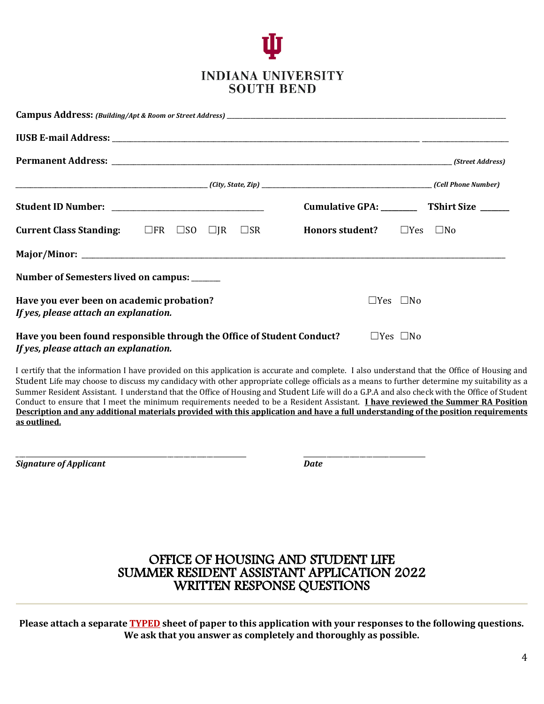

|                                                                                                                                         |  |  | Cumulative GPA: ____________ TShirt Size _______ |  |                      |              |  |
|-----------------------------------------------------------------------------------------------------------------------------------------|--|--|--------------------------------------------------|--|----------------------|--------------|--|
| <b>Current Class Standing:</b> $\Box$ FR $\Box$ SO $\Box$ JR $\Box$ SR                                                                  |  |  | <b>Honors student?</b>                           |  | $\Box$ Yes           | $\square$ No |  |
|                                                                                                                                         |  |  |                                                  |  |                      |              |  |
| Number of Semesters lived on campus: _____                                                                                              |  |  |                                                  |  |                      |              |  |
| Have you ever been on academic probation?<br>If yes, please attach an explanation.                                                      |  |  |                                                  |  | $\Box$ Yes $\Box$ No |              |  |
| Have you been found responsible through the Office of Student Conduct?<br>$\Box$ Yes $\Box$ No<br>If yes, please attach an explanation. |  |  |                                                  |  |                      |              |  |

I certify that the information I have provided on this application is accurate and complete. I also understand that the Office of Housing and Student Life may choose to discuss my candidacy with other appropriate college officials as a means to further determine my suitability as a Summer Resident Assistant. I understand that the Office of Housing and Student Life will do a G.P.A and also check with the Office of Student Conduct to ensure that I meet the minimum requirements needed to be a Resident Assistant. I have reviewed the Summer RA Position **Description and any additional materials provided with this application and have a full understanding of the position requirements as outlined.**

\_\_\_\_\_\_\_\_\_\_\_\_\_\_\_\_\_\_\_\_\_\_\_\_\_\_\_\_\_\_\_\_\_\_\_\_\_\_\_\_\_\_\_\_\_\_\_\_\_\_\_\_\_\_\_\_\_\_\_\_\_\_\_\_\_\_\_\_\_\_ \_\_\_\_\_\_\_\_\_\_\_\_\_\_\_\_\_\_\_\_\_\_\_\_\_\_\_\_\_\_\_\_\_\_\_\_\_

**Signature of Applicant** *Date* 

# OFFICE OF HOUSING AND STUDENT LIFE<br>SUMMER RESIDENT ASSISTANT APPLICATION 2022<br>WRITTEN RESPONSE QUESTIONS

Please attach a separate **TYPED** sheet of paper to this application with your responses to the following questions. We ask that you answer as completely and thoroughly as possible.

i,